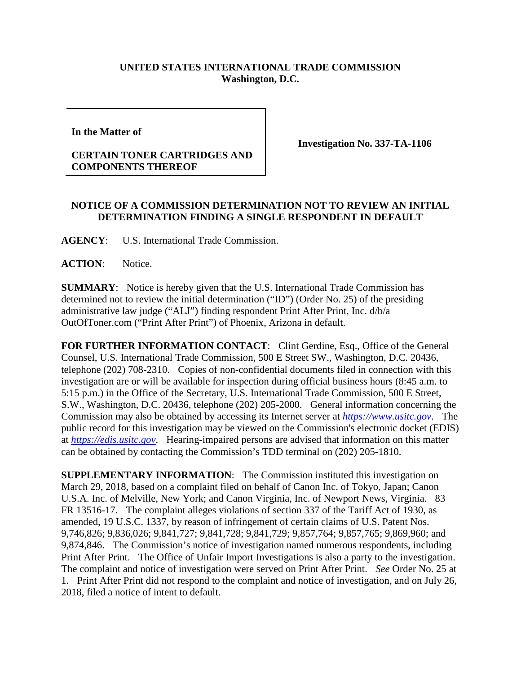## **UNITED STATES INTERNATIONAL TRADE COMMISSION Washington, D.C.**

**In the Matter of** 

## **CERTAIN TONER CARTRIDGES AND COMPONENTS THEREOF**

**Investigation No. 337-TA-1106**

## **NOTICE OF A COMMISSION DETERMINATION NOT TO REVIEW AN INITIAL DETERMINATION FINDING A SINGLE RESPONDENT IN DEFAULT**

**AGENCY**: U.S. International Trade Commission.

ACTION: Notice.

**SUMMARY**: Notice is hereby given that the U.S. International Trade Commission has determined not to review the initial determination ("ID") (Order No. 25) of the presiding administrative law judge ("ALJ") finding respondent Print After Print, Inc. d/b/a OutOfToner.com ("Print After Print") of Phoenix, Arizona in default.

**FOR FURTHER INFORMATION CONTACT**: Clint Gerdine, Esq., Office of the General Counsel, U.S. International Trade Commission, 500 E Street SW., Washington, D.C. 20436, telephone (202) 708-2310. Copies of non-confidential documents filed in connection with this investigation are or will be available for inspection during official business hours (8:45 a.m. to 5:15 p.m.) in the Office of the Secretary, U.S. International Trade Commission, 500 E Street, S.W., Washington, D.C. 20436, telephone (202) 205-2000. General information concerning the Commission may also be obtained by accessing its Internet server at *[https://www.usitc.gov](https://www.usitc.gov/)*. The public record for this investigation may be viewed on the Commission's electronic docket (EDIS) at *[https://edis.usitc.gov](https://edis.usitc.gov/)*. Hearing-impaired persons are advised that information on this matter can be obtained by contacting the Commission's TDD terminal on (202) 205-1810.

**SUPPLEMENTARY INFORMATION:** The Commission instituted this investigation on March 29, 2018, based on a complaint filed on behalf of Canon Inc. of Tokyo, Japan; Canon U.S.A. Inc. of Melville, New York; and Canon Virginia, Inc. of Newport News, Virginia. 83 FR 13516-17. The complaint alleges violations of section 337 of the Tariff Act of 1930, as amended, 19 U.S.C. 1337, by reason of infringement of certain claims of U.S. Patent Nos. 9,746,826; 9,836,026; 9,841,727; 9,841,728; 9,841,729; 9,857,764; 9,857,765; 9,869,960; and 9,874,846. The Commission's notice of investigation named numerous respondents, including Print After Print. The Office of Unfair Import Investigations is also a party to the investigation. The complaint and notice of investigation were served on Print After Print. *See* Order No. 25 at 1. Print After Print did not respond to the complaint and notice of investigation, and on July 26, 2018, filed a notice of intent to default.